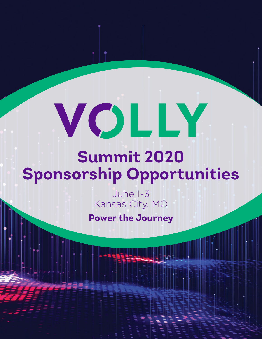# VOLLY

# **Summit 2020 Sponsorship Opportunities**

June 1-3 Kansas City, MO

**Power the Journey**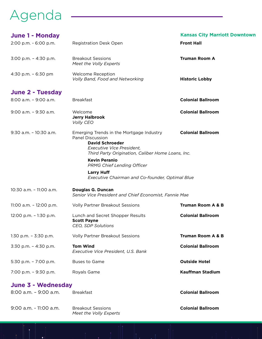## Agenda

| <b>June 1 - Monday</b><br>2:00 p.m. - 6:00 p.m. | <b>Registration Desk Open</b>                                                                                                                                                   | <b>Kansas City Marriott Downtown</b><br><b>Front Hall</b> |
|-------------------------------------------------|---------------------------------------------------------------------------------------------------------------------------------------------------------------------------------|-----------------------------------------------------------|
|                                                 |                                                                                                                                                                                 |                                                           |
| 3:00 p.m. - 4:30 p.m.                           | <b>Breakout Sessions</b><br>Meet the Volly Experts                                                                                                                              | <b>Truman Room A</b>                                      |
| 4:30 p.m. - 6:30 pm                             | Welcome Reception<br>Volly Band, Food and Networking                                                                                                                            | <b>Historic Lobby</b>                                     |
| <b>June 2 - Tuesday</b>                         |                                                                                                                                                                                 |                                                           |
| 8:00 a.m. - 9:00 a.m.                           | <b>Breakfast</b>                                                                                                                                                                | <b>Colonial Ballroom</b>                                  |
| 9:00 a.m. - 9:30 a.m.                           | Welcome<br><b>Jerry Halbrook</b><br>Volly CEO                                                                                                                                   | <b>Colonial Ballroom</b>                                  |
| $9:30$ a.m. $-10:30$ a.m.                       | Emerging Trends in the Mortgage Industry<br><b>Panel Discussion</b><br><b>David Schroeder</b><br>Executive Vice President,<br>Third Party Origination, Caliber Home Loans, Inc. | <b>Colonial Ballroom</b>                                  |
|                                                 | <b>Kevin Peranio</b><br><b>PRMG Chief Lending Officer</b>                                                                                                                       |                                                           |
|                                                 | <b>Larry Huff</b><br>Executive Chairman and Co-founder, Optimal Blue                                                                                                            |                                                           |
| 10:30 a.m. - 11:00 a.m.                         | <b>Douglas G. Duncan</b><br>Senior Vice President and Chief Economist, Fannie Mae                                                                                               |                                                           |
| 11:00 a.m. - 12:00 p.m.                         | <b>Volly Partner Breakout Sessions</b>                                                                                                                                          | <b>Truman Room A &amp; B</b>                              |
| $12:00$ p.m. $-1:30$ p.m.                       | Lunch and Secret Shopper Results<br><b>Scott Payne</b><br>CEO, SDP Solutions                                                                                                    | <b>Colonial Ballroom</b>                                  |
| $1:30$ p.m. $-3:30$ p.m.                        | <b>Volly Partner Breakout Sessions</b>                                                                                                                                          | <b>Truman Room A &amp; B</b>                              |
| 3:30 p.m. - 4:30 p.m.                           | <b>Tom Wind</b><br>Executive Vice President, U.S. Bank                                                                                                                          | <b>Colonial Ballroom</b>                                  |
| 5:30 p.m. - 7:00 p.m.                           | <b>Buses to Game</b>                                                                                                                                                            | <b>Outside Hotel</b>                                      |
| 7:00 p.m. - 9:30 p.m.                           | Royals Game                                                                                                                                                                     | <b>Kauffman Stadium</b>                                   |
| June 3 - Wednesday                              |                                                                                                                                                                                 |                                                           |
| 8:00 a.m. - 9:00 a.m.                           | <b>Breakfast</b>                                                                                                                                                                | <b>Colonial Ballroom</b>                                  |

 $\bullet$  1

 *Meet the Volly Experts*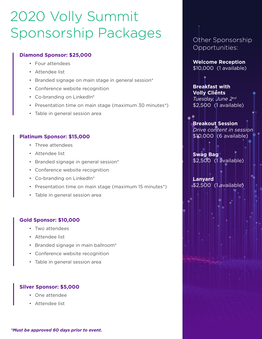# 2020 Volly Summit Sponsorship Packages

#### **Diamond Sponsor: \$25,000**

- Four attendees
- Attendee list
- Branded signage on main stage in general session\*
- Conference website recognition
- Co-branding on LinkedIn\*
- Presentation time on main stage (maximum 30 minutes\*)
- Table in general session area

#### **Platinum Sponsor: \$15,000**

- Three attendees
- Attendee list
- Branded signage in general session\*
- Conference website recognition
- Co-branding on LinkedIn\*
- Presentation time on main stage (maximum 15 minutes\*)
- Table in general session area

#### **Gold Sponsor: \$10,000**

- Two attendees
- Attendee list
- Branded signage in main ballroom\*
- Conference website recognition
- Table in general session area

#### **Silver Sponsor: \$5,000**

- One attendee
- Attendee list

Other Sponsorship Opportunities:

**Welcome Reception** \$10,000 (1 available)

**Breakfast with Volly Clients**  *Tuesday, June 2nd* \$2,500 (1 available)

**Breakout Session**  *Drive content in session* \$10,000 (6 available)

**Swag Bag** \$2,500 (1 available)

**Lanyard** \$2,500 (1 available)

*\*Must be approved 60 days prior to event.*